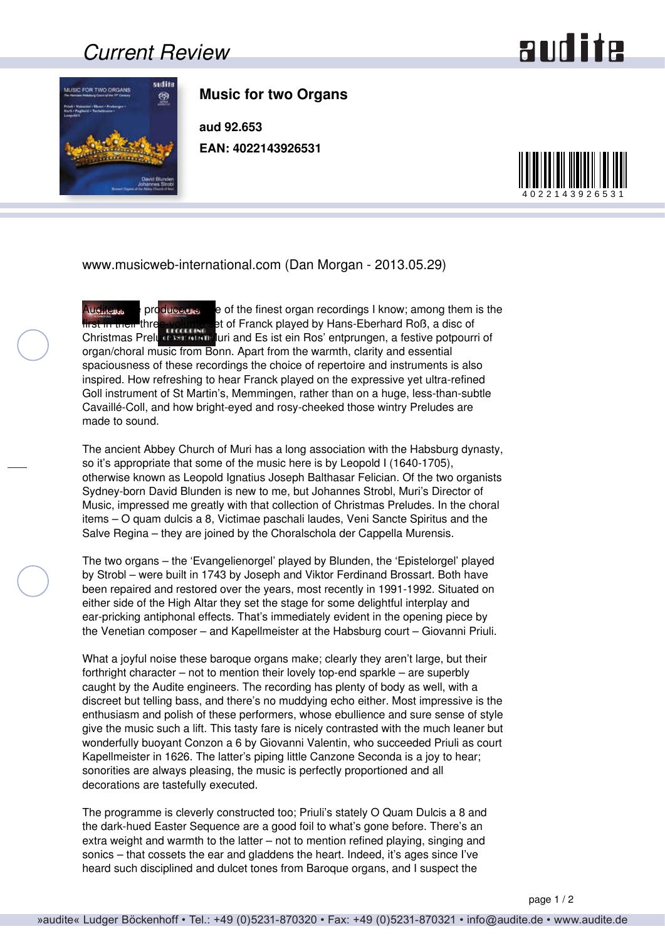## *Current Review*

## **audite**



**Music for two Organs**

**aud 92.653 EAN: 4022143926531**



www.musicweb-international.com (Dan Morgan - 2013.05.29)

Audite  $\omega$ , produced some of the finest organ recordings I know; among them is the first in their three-volume set of Franck played by Hans-Eberhard Roß, a disc of Christmas Preludes from Muri and Es ist ein Ros' entprungen, a festive potpourri of organ/choral music from Bonn. Apart from the warmth, clarity and essential spaciousness of these recordings the choice of repertoire and instruments is also inspired. How refreshing to hear Franck played on the expressive yet ultra-refined Goll instrument of St Martin's, Memmingen, rather than on a huge, less-than-subtle Cavaillé-Coll, and how bright-eyed and rosy-cheeked those wintry Preludes are made to sound.

The ancient Abbey Church of Muri has a long association with the Habsburg dynasty, so it's appropriate that some of the music here is by Leopold I (1640-1705), otherwise known as Leopold Ignatius Joseph Balthasar Felician. Of the two organists Sydney-born David Blunden is new to me, but Johannes Strobl, Muri's Director of Music, impressed me greatly with that collection of Christmas Preludes. In the choral items – O quam dulcis a 8, Victimae paschali laudes, Veni Sancte Spiritus and the Salve Regina – they are joined by the Choralschola der Cappella Murensis.

The two organs – the 'Evangelienorgel' played by Blunden, the 'Epistelorgel' played by Strobl – were built in 1743 by Joseph and Viktor Ferdinand Brossart. Both have been repaired and restored over the years, most recently in 1991-1992. Situated on either side of the High Altar they set the stage for some delightful interplay and ear-pricking antiphonal effects. That's immediately evident in the opening piece by the Venetian composer – and Kapellmeister at the Habsburg court – Giovanni Priuli.

What a joyful noise these baroque organs make; clearly they aren't large, but their forthright character – not to mention their lovely top-end sparkle – are superbly caught by the Audite engineers. The recording has plenty of body as well, with a discreet but telling bass, and there's no muddying echo either. Most impressive is the enthusiasm and polish of these performers, whose ebullience and sure sense of style give the music such a lift. This tasty fare is nicely contrasted with the much leaner but wonderfully buoyant Conzon a 6 by Giovanni Valentin, who succeeded Priuli as court Kapellmeister in 1626. The latter's piping little Canzone Seconda is a joy to hear; sonorities are always pleasing, the music is perfectly proportioned and all decorations are tastefully executed.

The programme is cleverly constructed too; Priuli's stately O Quam Dulcis a 8 and the dark-hued Easter Sequence are a good foil to what's gone before. There's an extra weight and warmth to the latter – not to mention refined playing, singing and sonics – that cossets the ear and gladdens the heart. Indeed, it's ages since I've heard such disciplined and dulcet tones from Baroque organs, and I suspect the